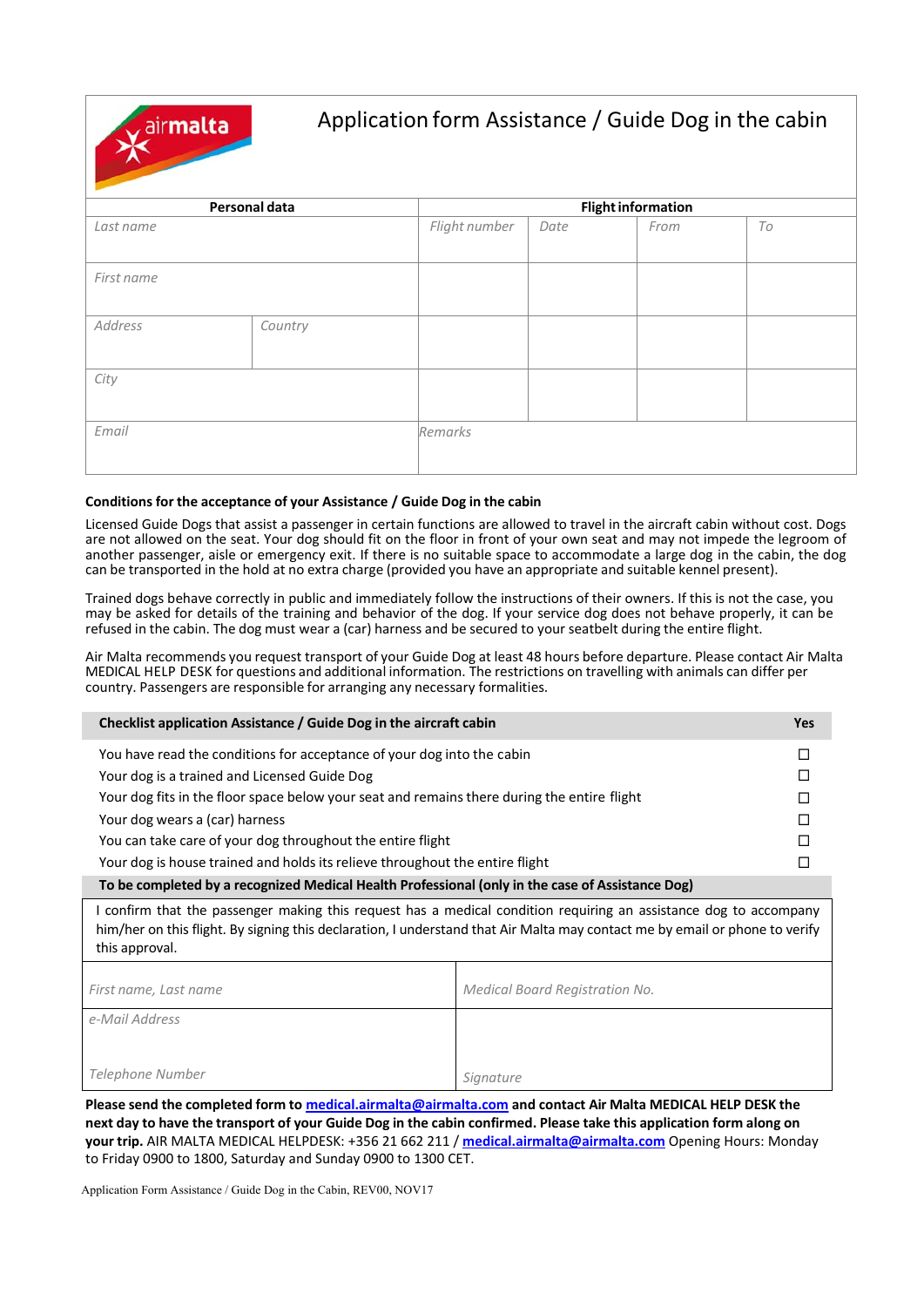airmalta

### Application form Assistance / Guide Dog in the cabin

| Personal data |         | <b>Flight information</b> |      |      |    |  |
|---------------|---------|---------------------------|------|------|----|--|
| Last name     |         | Flight number             | Date | From | To |  |
| First name    |         |                           |      |      |    |  |
| Address       | Country |                           |      |      |    |  |
| City          |         |                           |      |      |    |  |
| Email         |         | Remarks                   |      |      |    |  |

#### **Conditions for the acceptance of your Assistance / Guide Dog in the cabin**

Licensed Guide Dogs that assist a passenger in certain functions are allowed to travel in the aircraft cabin without cost. Dogs are not allowed on the seat. Your dog should fit on the floor in front of your own seat and may not impede the legroom of another passenger, aisle or emergency exit. If there is no suitable space to accommodate a large dog in the cabin, the dog can be transported in the hold at no extra charge (provided you have an appropriate and suitable kennel present).

Trained dogs behave correctly in public and immediately follow the instructions of their owners. If this is not the case, you may be asked for details of the training and behavior of the dog. If your service dog does not behave properly, it can be refused in the cabin. The dog must wear a (car) harness and be secured to your seatbelt during the entire flight.

Air Malta recommends you request transport of your Guide Dog at least 48 hours before departure. Please contact Air Malta MEDICAL HELP DESK for questions and additional information. The restrictions on travelling with animals can differ per country. Passengers are responsible for arranging any necessary formalities.

| Checklist application Assistance / Guide Dog in the aircraft cabin                                | Yes |  |  |  |
|---------------------------------------------------------------------------------------------------|-----|--|--|--|
| You have read the conditions for acceptance of your dog into the cabin                            |     |  |  |  |
| Your dog is a trained and Licensed Guide Dog                                                      |     |  |  |  |
| Your dog fits in the floor space below your seat and remains there during the entire flight       |     |  |  |  |
| Your dog wears a (car) harness                                                                    | П   |  |  |  |
| You can take care of your dog throughout the entire flight                                        |     |  |  |  |
| Your dog is house trained and holds its relieve throughout the entire flight                      |     |  |  |  |
| To he completed by a recognized Medical Health Drefessional (aply in the case of Assistance Deal) |     |  |  |  |

**To be completed by a recognized Medical Health Professional (only in the case of Assistance Dog)** 

I confirm that the passenger making this request has a medical condition requiring an assistance dog to accompany him/her on this flight. By signing this declaration, I understand that Air Malta may contact me by email or phone to verify this approval.

| First name, Last name | Medical Board Registration No. |
|-----------------------|--------------------------------|
| e-Mail Address        |                                |
|                       |                                |
| Telephone Number      | Signature                      |

**Please send the completed form to medical.airmalta@airmalta.com and contact Air Malta MEDICAL HELP DESK the next day to have the transport of your Guide Dog in the cabin confirmed. Please take this application form along on your trip.** AIR MALTA MEDICAL HELPDESK: +356 21 662 211 / **medical.airmalta@airmalta.com** Opening Hours: Monday to Friday 0900 to 1800, Saturday and Sunday 0900 to 1300 CET.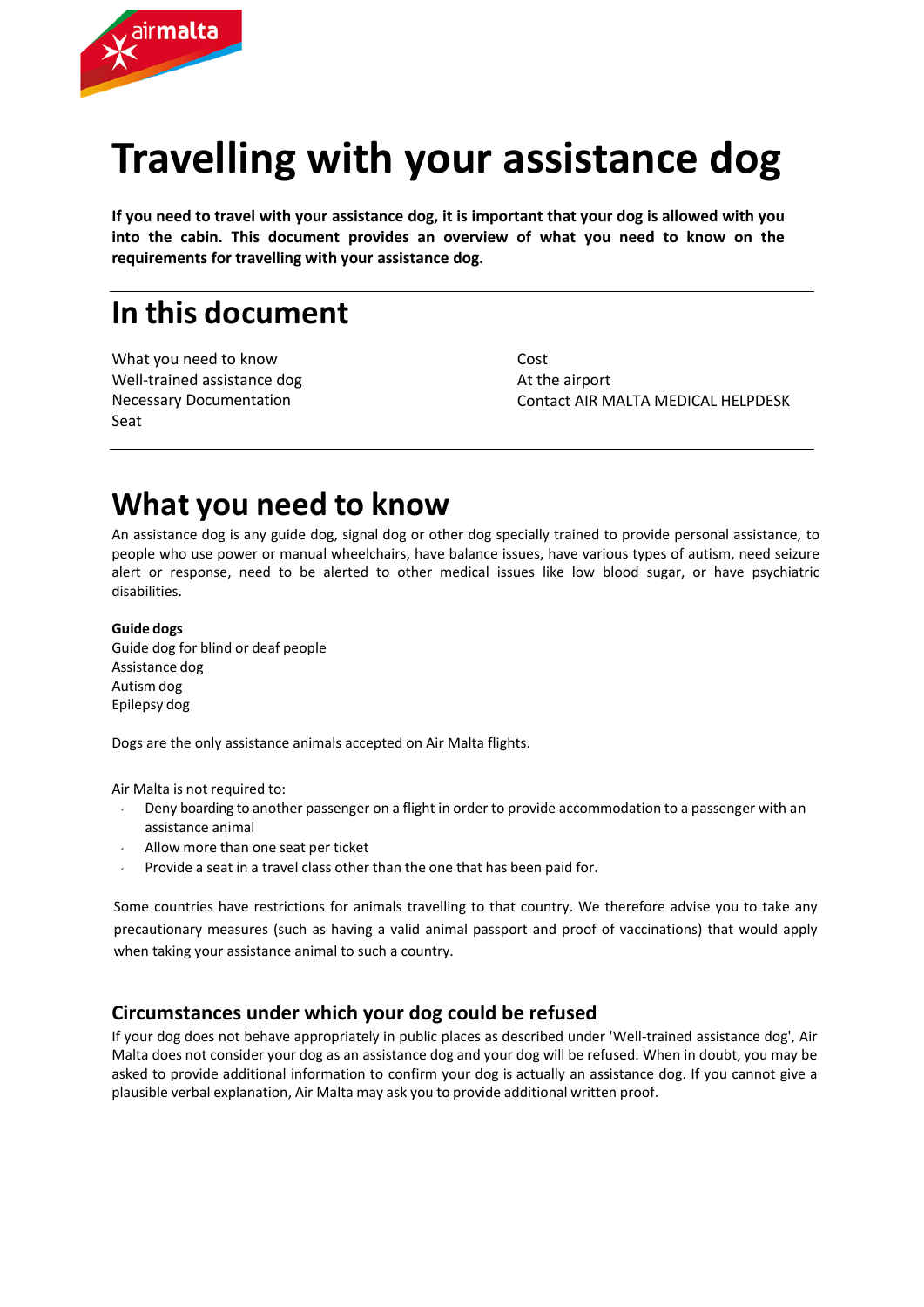

# **Travelling with your assistance dog**

**If you need to travel with your assistance dog, it is important that your dog is allowed with you into the cabin. This document provides an overview of what you need to know on the requirements for travelling with your assistance dog.**

### **In this document**

What you need to know Well‐trained assistance dog Necessary Documentation Seat

Cost At the airport Contact AIR MALTA MEDICAL HELPDESK

### **What you need to know**

An assistance dog is any guide dog, signal dog or other dog specially trained to provide personal assistance, to people who use power or manual wheelchairs, have balance issues, have various types of autism, need seizure alert or response, need to be alerted to other medical issues like low blood sugar, or have psychiatric disabilities.

#### **Guide dogs**

Guide dog for blind or deaf people Assistance dog Autism dog Epilepsy dog

Dogs are the only assistance animals accepted on Air Malta flights.

Air Malta is not required to:

- Deny boarding to another passenger on a flight in order to provide accommodation to a passenger with an assistance animal
- Allow more than one seat per ticket
- Provide a seat in a travel class other than the one that has been paid for.

Some countries have restrictions for animals travelling to that country. We therefore advise you to take any precautionary measures (such as having a valid animal passport and proof of vaccinations) that would apply when taking your assistance animal to such a country.

### **Circumstances under which your dog could be refused**

If your dog does not behave appropriately in public places as described under 'Well-trained assistance dog', Air Malta does not consider your dog as an assistance dog and your dog will be refused. When in doubt, you may be asked to provide additional information to confirm your dog is actually an assistance dog. If you cannot give a plausible verbal explanation, Air Malta may ask you to provide additional written proof.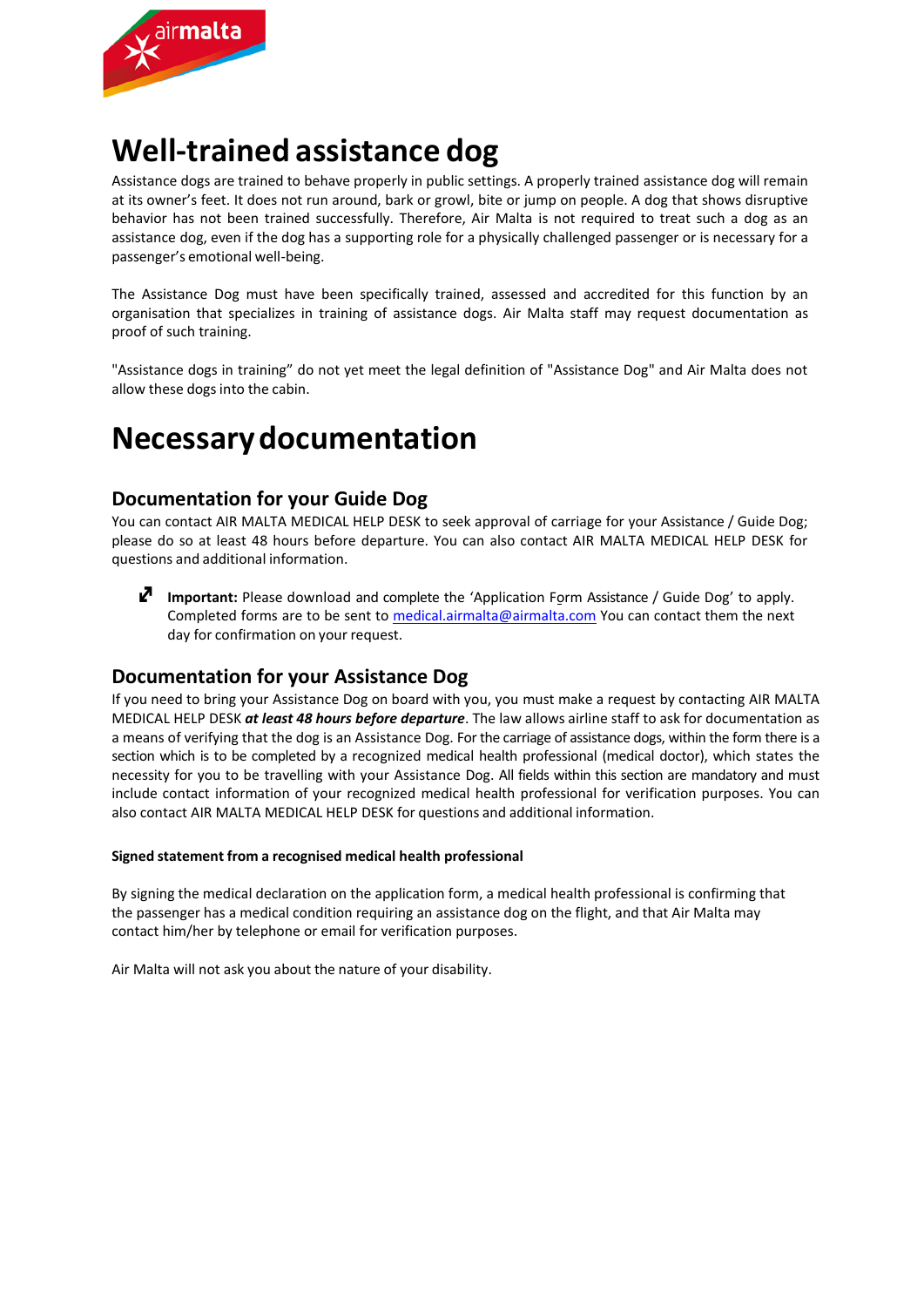

### **Well‐trained assistance dog**

Assistance dogs are trained to behave properly in public settings. A properly trained assistance dog will remain at its owner's feet. It does not run around, bark or growl, bite or jump on people. A dog that shows disruptive behavior has not been trained successfully. Therefore, Air Malta is not required to treat such a dog as an assistance dog, even if the dog has a supporting role for a physically challenged passenger or is necessary for a passenger's emotional well‐being.

The Assistance Dog must have been specifically trained, assessed and accredited for this function by an organisation that specializes in training of assistance dogs. Air Malta staff may request documentation as proof of such training.

"Assistance dogs in training" do not yet meet the legal definition of "Assistance Dog" and Air Malta does not allow these dogs into the cabin.

### **Necessary documentation**

### **Documentation for your Guide Dog**

You can contact AIR MALTA MEDICAL HELP DESK to seek approval of carriage for your Assistance / Guide Dog; please do so at least 48 hours before departure. You can also contact AIR MALTA MEDICAL HELP DESK for questions and additional information.

**I** Important: Please download and complete the 'Application Form Assistance / Guide Dog' to apply. Completed forms are to be sent to medical.airmalta@airmalta.com You can contact them the next day for confirmation on your request.

#### **Documentation for your Assistance Dog**

If you need to bring your Assistance Dog on board with you, you must make a request by contacting AIR MALTA MEDICAL HELP DESK *at least 48 hours before departure*. The law allows airline staff to ask for documentation as a means of verifying that the dog is an Assistance Dog. For the carriage of assistance dogs, within the form there is a section which is to be completed by a recognized medical health professional (medical doctor), which states the necessity for you to be travelling with your Assistance Dog. All fields within this section are mandatory and must include contact information of your recognized medical health professional for verification purposes. You can also contact AIR MALTA MEDICAL HELP DESK for questions and additional information.

#### **Signed statement from a recognised medical health professional**

By signing the medical declaration on the application form, a medical health professional is confirming that the passenger has a medical condition requiring an assistance dog on the flight, and that Air Malta may contact him/her by telephone or email for verification purposes.

Air Malta will not ask you about the nature of your disability.